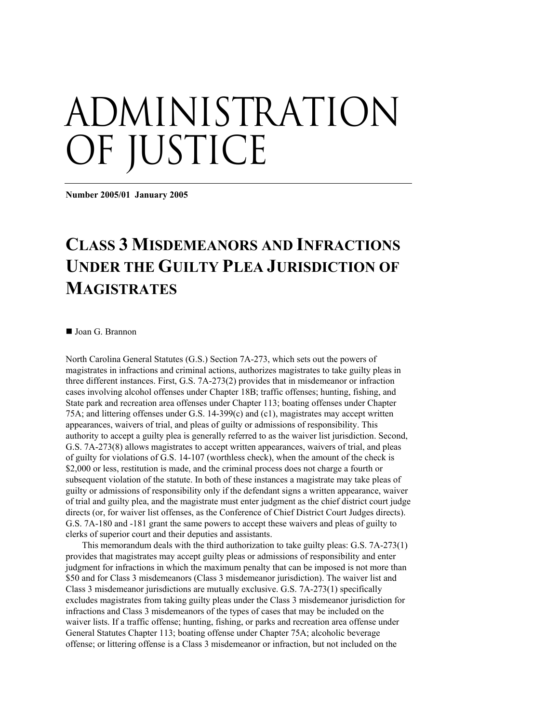## administration OF JUSTICE

**Number 2005/01 January 2005** 

## **CLASS 3 MISDEMEANORS AND INFRACTIONS UNDER THE GUILTY PLEA JURISDICTION OF MAGISTRATES**

■ Joan G. Brannon

North Carolina General Statutes (G.S.) Section 7A-273, which sets out the powers of magistrates in infractions and criminal actions, authorizes magistrates to take guilty pleas in three different instances. First, G.S. 7A-273(2) provides that in misdemeanor or infraction cases involving alcohol offenses under Chapter 18B; traffic offenses; hunting, fishing, and State park and recreation area offenses under Chapter 113; boating offenses under Chapter 75A; and littering offenses under G.S. 14-399(c) and (c1), magistrates may accept written appearances, waivers of trial, and pleas of guilty or admissions of responsibility. This authority to accept a guilty plea is generally referred to as the waiver list jurisdiction. Second, G.S. 7A-273(8) allows magistrates to accept written appearances, waivers of trial, and pleas of guilty for violations of G.S. 14-107 (worthless check), when the amount of the check is \$2,000 or less, restitution is made, and the criminal process does not charge a fourth or subsequent violation of the statute. In both of these instances a magistrate may take pleas of guilty or admissions of responsibility only if the defendant signs a written appearance, waiver of trial and guilty plea, and the magistrate must enter judgment as the chief district court judge directs (or, for waiver list offenses, as the Conference of Chief District Court Judges directs). G.S. 7A-180 and -181 grant the same powers to accept these waivers and pleas of guilty to clerks of superior court and their deputies and assistants.

This memorandum deals with the third authorization to take guilty pleas: G.S. 7A-273(1) provides that magistrates may accept guilty pleas or admissions of responsibility and enter judgment for infractions in which the maximum penalty that can be imposed is not more than \$50 and for Class 3 misdemeanors (Class 3 misdemeanor jurisdiction). The waiver list and Class 3 misdemeanor jurisdictions are mutually exclusive. G.S. 7A-273(1) specifically excludes magistrates from taking guilty pleas under the Class 3 misdemeanor jurisdiction for infractions and Class 3 misdemeanors of the types of cases that may be included on the waiver lists. If a traffic offense; hunting, fishing, or parks and recreation area offense under General Statutes Chapter 113; boating offense under Chapter 75A; alcoholic beverage offense; or littering offense is a Class 3 misdemeanor or infraction, but not included on the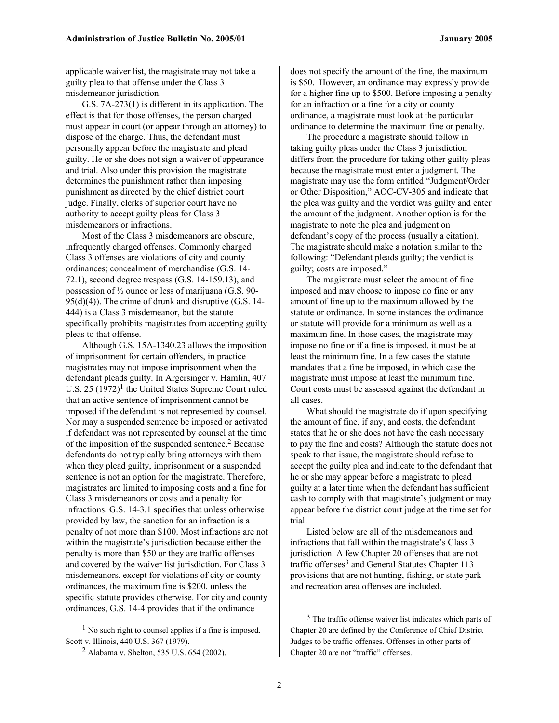applicable waiver list, the magistrate may not take a guilty plea to that offense under the Class 3 misdemeanor jurisdiction.

G.S. 7A-273(1) is different in its application. The effect is that for those offenses, the person charged must appear in court (or appear through an attorney) to dispose of the charge. Thus, the defendant must personally appear before the magistrate and plead guilty. He or she does not sign a waiver of appearance and trial. Also under this provision the magistrate determines the punishment rather than imposing punishment as directed by the chief district court judge. Finally, clerks of superior court have no authority to accept guilty pleas for Class 3 misdemeanors or infractions.

Most of the Class 3 misdemeanors are obscure, infrequently charged offenses. Commonly charged Class 3 offenses are violations of city and county ordinances; concealment of merchandise (G.S. 14- 72.1), second degree trespass (G.S. 14-159.13), and possession of ½ ounce or less of marijuana (G.S. 90-  $95(d)(4)$ ). The crime of drunk and disruptive (G.S. 14-444) is a Class 3 misdemeanor, but the statute specifically prohibits magistrates from accepting guilty pleas to that offense.

Although G.S. 15A-1340.23 allows the imposition of imprisonment for certain offenders, in practice magistrates may not impose imprisonment when the defendant pleads guilty. In Argersinger v. Hamlin, 407 U.S.  $25$  (1972)<sup>1</sup> the United States Supreme Court ruled that an active sentence of imprisonment cannot be imposed if the defendant is not represented by counsel. Nor may a suspended sentence be imposed or activated if defendant was not represented by counsel at the time of the imposition of the suspended sentence.2 Because defendants do not typically bring attorneys with them when they plead guilty, imprisonment or a suspended sentence is not an option for the magistrate. Therefore, magistrates are limited to imposing costs and a fine for Class 3 misdemeanors or costs and a penalty for infractions. G.S. 14-3.1 specifies that unless otherwise provided by law, the sanction for an infraction is a penalty of not more than \$100. Most infractions are not within the magistrate's jurisdiction because either the penalty is more than \$50 or they are traffic offenses and covered by the waiver list jurisdiction. For Class 3 misdemeanors, except for violations of city or county ordinances, the maximum fine is \$200, unless the specific statute provides otherwise. For city and county ordinances, G.S. 14-4 provides that if the ordinance

does not specify the amount of the fine, the maximum is \$50. However, an ordinance may expressly provide for a higher fine up to \$500. Before imposing a penalty for an infraction or a fine for a city or county ordinance, a magistrate must look at the particular ordinance to determine the maximum fine or penalty.

The procedure a magistrate should follow in taking guilty pleas under the Class 3 jurisdiction differs from the procedure for taking other guilty pleas because the magistrate must enter a judgment. The magistrate may use the form entitled "Judgment/Order or Other Disposition," AOC-CV-305 and indicate that the plea was guilty and the verdict was guilty and enter the amount of the judgment. Another option is for the magistrate to note the plea and judgment on defendant's copy of the process (usually a citation). The magistrate should make a notation similar to the following: "Defendant pleads guilty; the verdict is guilty; costs are imposed."

The magistrate must select the amount of fine imposed and may choose to impose no fine or any amount of fine up to the maximum allowed by the statute or ordinance. In some instances the ordinance or statute will provide for a minimum as well as a maximum fine. In those cases, the magistrate may impose no fine or if a fine is imposed, it must be at least the minimum fine. In a few cases the statute mandates that a fine be imposed, in which case the magistrate must impose at least the minimum fine. Court costs must be assessed against the defendant in all cases.

What should the magistrate do if upon specifying the amount of fine, if any, and costs, the defendant states that he or she does not have the cash necessary to pay the fine and costs? Although the statute does not speak to that issue, the magistrate should refuse to accept the guilty plea and indicate to the defendant that he or she may appear before a magistrate to plead guilty at a later time when the defendant has sufficient cash to comply with that magistrate's judgment or may appear before the district court judge at the time set for trial.

Listed below are all of the misdemeanors and infractions that fall within the magistrate's Class 3 jurisdiction. A few Chapter 20 offenses that are not traffic offenses<sup>3</sup> and General Statutes Chapter 113 provisions that are not hunting, fishing, or state park and recreation area offenses are included.

 $<sup>1</sup>$  No such right to counsel applies if a fine is imposed.</sup> Scott v. Illinois, 440 U.S. 367 (1979).

<sup>2</sup> Alabama v. Shelton, 535 U.S. 654 (2002).

<sup>&</sup>lt;sup>3</sup> The traffic offense waiver list indicates which parts of Chapter 20 are defined by the Conference of Chief District Judges to be traffic offenses. Offenses in other parts of Chapter 20 are not "traffic" offenses.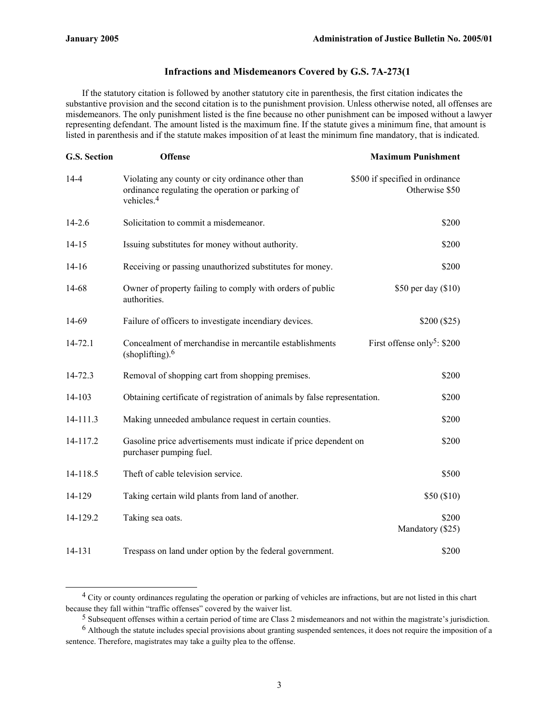## **Infractions and Misdemeanors Covered by G.S. 7A-273(1**

If the statutory citation is followed by another statutory cite in parenthesis, the first citation indicates the substantive provision and the second citation is to the punishment provision. Unless otherwise noted, all offenses are misdemeanors. The only punishment listed is the fine because no other punishment can be imposed without a lawyer representing defendant. The amount listed is the maximum fine. If the statute gives a minimum fine, that amount is listed in parenthesis and if the statute makes imposition of at least the minimum fine mandatory, that is indicated.

| G.S. Section | <b>Offense</b>                                                                                                                  | <b>Maximum Punishment</b>                         |
|--------------|---------------------------------------------------------------------------------------------------------------------------------|---------------------------------------------------|
| $14-4$       | Violating any county or city ordinance other than<br>ordinance regulating the operation or parking of<br>vehicles. <sup>4</sup> | \$500 if specified in ordinance<br>Otherwise \$50 |
| $14 - 2.6$   | Solicitation to commit a misdemeanor.                                                                                           | \$200                                             |
| $14 - 15$    | Issuing substitutes for money without authority.                                                                                | \$200                                             |
| $14-16$      | Receiving or passing unauthorized substitutes for money.                                                                        | \$200                                             |
| 14-68        | Owner of property failing to comply with orders of public<br>authorities.                                                       | \$50 per day (\$10)                               |
| 14-69        | Failure of officers to investigate incendiary devices.                                                                          | \$200 (\$25)                                      |
| $14 - 72.1$  | Concealment of merchandise in mercantile establishments<br>$(\text{shoplifting})$ . <sup>6</sup>                                | First offense only <sup>5</sup> : \$200           |
| 14-72.3      | Removal of shopping cart from shopping premises.                                                                                | \$200                                             |
| 14-103       | Obtaining certificate of registration of animals by false representation.                                                       | \$200                                             |
| 14-111.3     | Making unneeded ambulance request in certain counties.                                                                          | \$200                                             |
| 14-117.2     | Gasoline price advertisements must indicate if price dependent on<br>purchaser pumping fuel.                                    | \$200                                             |
| 14-118.5     | Theft of cable television service.                                                                                              | \$500                                             |
| 14-129       | Taking certain wild plants from land of another.                                                                                | \$50(\$10)                                        |
| 14-129.2     | Taking sea oats.                                                                                                                | \$200<br>Mandatory (\$25)                         |
| 14-131       | Trespass on land under option by the federal government.                                                                        | \$200                                             |

<sup>&</sup>lt;sup>4</sup> City or county ordinances regulating the operation or parking of vehicles are infractions, but are not listed in this chart because they fall within "traffic offenses" covered by the waiver list.

<sup>&</sup>lt;sup>5</sup> Subsequent offenses within a certain period of time are Class 2 misdemeanors and not within the magistrate's jurisdiction.

 $6$  Although the statute includes special provisions about granting suspended sentences, it does not require the imposition of a sentence. Therefore, magistrates may take a guilty plea to the offense.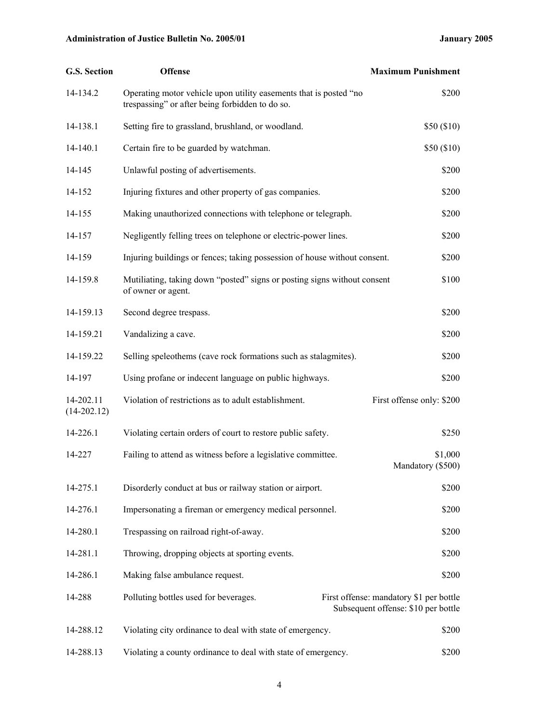| G.S. Section               | <b>Offense</b>                                                                                                       | <b>Maximum Punishment</b>                                                      |
|----------------------------|----------------------------------------------------------------------------------------------------------------------|--------------------------------------------------------------------------------|
| 14-134.2                   | Operating motor vehicle upon utility easements that is posted "no<br>trespassing" or after being forbidden to do so. | \$200                                                                          |
| 14-138.1                   | Setting fire to grassland, brushland, or woodland.                                                                   | \$50(\$10)                                                                     |
| 14-140.1                   | Certain fire to be guarded by watchman.                                                                              | \$50(\$10)                                                                     |
| 14-145                     | Unlawful posting of advertisements.                                                                                  | \$200                                                                          |
| 14-152                     | Injuring fixtures and other property of gas companies.                                                               | \$200                                                                          |
| 14-155                     | Making unauthorized connections with telephone or telegraph.                                                         | \$200                                                                          |
| 14-157                     | Negligently felling trees on telephone or electric-power lines.                                                      | \$200                                                                          |
| 14-159                     | Injuring buildings or fences; taking possession of house without consent.                                            | \$200                                                                          |
| 14-159.8                   | Mutiliating, taking down "posted" signs or posting signs without consent<br>of owner or agent.                       | \$100                                                                          |
| 14-159.13                  | Second degree trespass.                                                                                              | \$200                                                                          |
| 14-159.21                  | Vandalizing a cave.                                                                                                  | \$200                                                                          |
| 14-159.22                  | Selling speleothems (cave rock formations such as stalagmites).                                                      | \$200                                                                          |
| 14-197                     | Using profane or indecent language on public highways.                                                               | \$200                                                                          |
| 14-202.11<br>$(14-202.12)$ | Violation of restrictions as to adult establishment.                                                                 | First offense only: \$200                                                      |
| 14-226.1                   | Violating certain orders of court to restore public safety.                                                          | \$250                                                                          |
| 14-227                     | Failing to attend as witness before a legislative committee.                                                         | \$1,000<br>Mandatory (\$500)                                                   |
| 14-275.1                   | Disorderly conduct at bus or railway station or airport.                                                             | \$200                                                                          |
| 14-276.1                   | Impersonating a fireman or emergency medical personnel.                                                              | \$200                                                                          |
| 14-280.1                   | Trespassing on railroad right-of-away.                                                                               | \$200                                                                          |
| 14-281.1                   | Throwing, dropping objects at sporting events.                                                                       | \$200                                                                          |
| 14-286.1                   | Making false ambulance request.                                                                                      | \$200                                                                          |
| 14-288                     | Polluting bottles used for beverages.                                                                                | First offense: mandatory \$1 per bottle<br>Subsequent offense: \$10 per bottle |
| 14-288.12                  | Violating city ordinance to deal with state of emergency.                                                            | \$200                                                                          |
| 14-288.13                  | Violating a county ordinance to deal with state of emergency.                                                        | \$200                                                                          |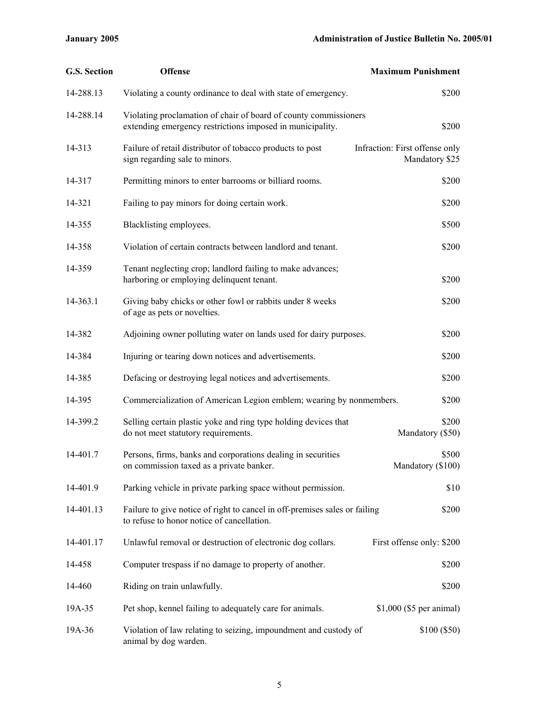| <b>G.S. Section</b> | <b>Offense</b>                                                                                                                | <b>Maximum Punishment</b>                        |
|---------------------|-------------------------------------------------------------------------------------------------------------------------------|--------------------------------------------------|
| 14-288.13           | Violating a county ordinance to deal with state of emergency.                                                                 | \$200                                            |
| 14-288.14           | Violating proclamation of chair of board of county commissioners<br>extending emergency restrictions imposed in municipality. | \$200                                            |
| 14-313              | Failure of retail distributor of tobacco products to post<br>sign regarding sale to minors.                                   | Infraction: First offense only<br>Mandatory \$25 |
| 14-317              | Permitting minors to enter barrooms or billiard rooms.                                                                        | \$200                                            |
| 14-321              | Failing to pay minors for doing certain work.                                                                                 | \$200                                            |
| 14-355              | Blacklisting employees.                                                                                                       | \$500                                            |
| 14-358              | Violation of certain contracts between landlord and tenant.                                                                   | \$200                                            |
| 14-359              | Tenant neglecting crop; landlord failing to make advances;<br>harboring or employing delinquent tenant.                       | \$200                                            |
| 14-363.1            | Giving baby chicks or other fowl or rabbits under 8 weeks<br>of age as pets or novelties.                                     | \$200                                            |
| 14-382              | Adjoining owner polluting water on lands used for dairy purposes.                                                             | \$200                                            |
| 14-384              | Injuring or tearing down notices and advertisements.                                                                          | \$200                                            |
| 14-385              | Defacing or destroying legal notices and advertisements.                                                                      | \$200                                            |
| 14-395              | Commercialization of American Legion emblem; wearing by nonmembers.                                                           | \$200                                            |
| 14-399.2            | Selling certain plastic yoke and ring type holding devices that<br>do not meet statutory requirements.                        | \$200<br>Mandatory (\$50)                        |
| 14-401.7            | Persons, firms, banks and corporations dealing in securities<br>on commission taxed as a private banker.                      | \$500<br>Mandatory (\$100)                       |
| 14-401.9            | Parking vehicle in private parking space without permission.                                                                  | \$10                                             |
| 14-401.13           | Failure to give notice of right to cancel in off-premises sales or failing<br>to refuse to honor notice of cancellation.      | \$200                                            |
| 14-401.17           | Unlawful removal or destruction of electronic dog collars.                                                                    | First offense only: \$200                        |
| 14-458              | Computer trespass if no damage to property of another.                                                                        | \$200                                            |
| 14-460              | Riding on train unlawfully.                                                                                                   | \$200                                            |
| 19A-35              | Pet shop, kennel failing to adequately care for animals.                                                                      | \$1,000 (\$5 per animal)                         |
| 19A-36              | Violation of law relating to seizing, impoundment and custody of<br>animal by dog warden.                                     | \$100 (\$50)                                     |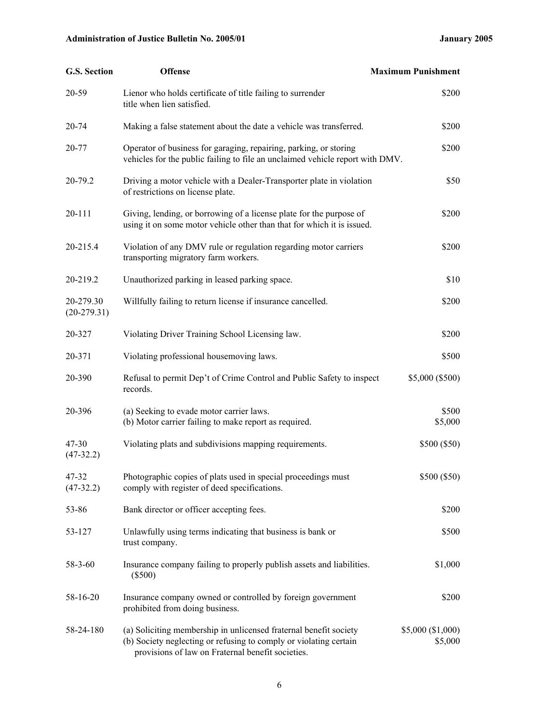| G.S. Section               | <b>Offense</b>                                                                                                                                                                              | <b>Maximum Punishment</b>    |
|----------------------------|---------------------------------------------------------------------------------------------------------------------------------------------------------------------------------------------|------------------------------|
| 20-59                      | Lienor who holds certificate of title failing to surrender<br>title when lien satisfied.                                                                                                    | \$200                        |
| 20-74                      | Making a false statement about the date a vehicle was transferred.                                                                                                                          | \$200                        |
| 20-77                      | Operator of business for garaging, repairing, parking, or storing<br>vehicles for the public failing to file an unclaimed vehicle report with DMV.                                          | \$200                        |
| 20-79.2                    | Driving a motor vehicle with a Dealer-Transporter plate in violation<br>of restrictions on license plate.                                                                                   | \$50                         |
| 20-111                     | Giving, lending, or borrowing of a license plate for the purpose of<br>using it on some motor vehicle other than that for which it is issued.                                               | \$200                        |
| 20-215.4                   | Violation of any DMV rule or regulation regarding motor carriers<br>transporting migratory farm workers.                                                                                    | \$200                        |
| 20-219.2                   | Unauthorized parking in leased parking space.                                                                                                                                               | \$10                         |
| 20-279.30<br>$(20-279.31)$ | Willfully failing to return license if insurance cancelled.                                                                                                                                 | \$200                        |
| 20-327                     | Violating Driver Training School Licensing law.                                                                                                                                             | \$200                        |
| 20-371                     | Violating professional housemoving laws.                                                                                                                                                    | \$500                        |
| 20-390                     | Refusal to permit Dep't of Crime Control and Public Safety to inspect<br>records.                                                                                                           | \$5,000 (\$500)              |
| 20-396                     | (a) Seeking to evade motor carrier laws.<br>(b) Motor carrier failing to make report as required.                                                                                           | \$500<br>\$5,000             |
| 47-30<br>$(47-32.2)$       | Violating plats and subdivisions mapping requirements.                                                                                                                                      | \$500 (\$50)                 |
| 47-32<br>$(47-32.2)$       | Photographic copies of plats used in special proceedings must<br>comply with register of deed specifications.                                                                               | \$500 (\$50)                 |
| 53-86                      | Bank director or officer accepting fees.                                                                                                                                                    | \$200                        |
| 53-127                     | Unlawfully using terms indicating that business is bank or<br>trust company.                                                                                                                | \$500                        |
| 58-3-60                    | Insurance company failing to properly publish assets and liabilities.<br>$(\$500)$                                                                                                          | \$1,000                      |
| 58-16-20                   | Insurance company owned or controlled by foreign government<br>prohibited from doing business.                                                                                              | \$200                        |
| 58-24-180                  | (a) Soliciting membership in unlicensed fraternal benefit society<br>(b) Society neglecting or refusing to comply or violating certain<br>provisions of law on Fraternal benefit societies. | \$5,000 (\$1,000)<br>\$5,000 |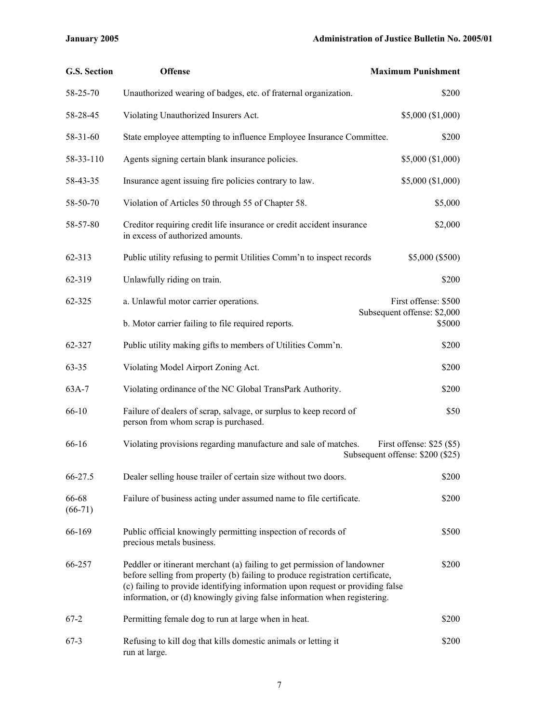| <b>G.S. Section</b> | <b>Offense</b>                                                                                                                                                                                                                                                                                                          | <b>Maximum Punishment</b>                                      |
|---------------------|-------------------------------------------------------------------------------------------------------------------------------------------------------------------------------------------------------------------------------------------------------------------------------------------------------------------------|----------------------------------------------------------------|
| 58-25-70            | Unauthorized wearing of badges, etc. of fraternal organization.                                                                                                                                                                                                                                                         | \$200                                                          |
| 58-28-45            | Violating Unauthorized Insurers Act.                                                                                                                                                                                                                                                                                    | \$5,000 (\$1,000)                                              |
| 58-31-60            | State employee attempting to influence Employee Insurance Committee.                                                                                                                                                                                                                                                    | \$200                                                          |
| 58-33-110           | Agents signing certain blank insurance policies.                                                                                                                                                                                                                                                                        | \$5,000 (\$1,000)                                              |
| 58-43-35            | Insurance agent issuing fire policies contrary to law.                                                                                                                                                                                                                                                                  | \$5,000 (\$1,000)                                              |
| 58-50-70            | Violation of Articles 50 through 55 of Chapter 58.                                                                                                                                                                                                                                                                      | \$5,000                                                        |
| 58-57-80            | Creditor requiring credit life insurance or credit accident insurance<br>in excess of authorized amounts.                                                                                                                                                                                                               | \$2,000                                                        |
| 62-313              | Public utility refusing to permit Utilities Comm'n to inspect records                                                                                                                                                                                                                                                   | \$5,000 (\$500)                                                |
| 62-319              | Unlawfully riding on train.                                                                                                                                                                                                                                                                                             | \$200                                                          |
| 62-325              | a. Unlawful motor carrier operations.                                                                                                                                                                                                                                                                                   | First offense: \$500                                           |
|                     | b. Motor carrier failing to file required reports.                                                                                                                                                                                                                                                                      | Subsequent offense: \$2,000<br>\$5000                          |
| 62-327              | Public utility making gifts to members of Utilities Comm'n.                                                                                                                                                                                                                                                             | \$200                                                          |
| $63 - 35$           | Violating Model Airport Zoning Act.                                                                                                                                                                                                                                                                                     | \$200                                                          |
| 63A-7               | Violating ordinance of the NC Global TransPark Authority.                                                                                                                                                                                                                                                               | \$200                                                          |
| 66-10               | Failure of dealers of scrap, salvage, or surplus to keep record of<br>person from whom scrap is purchased.                                                                                                                                                                                                              | \$50                                                           |
| 66-16               | Violating provisions regarding manufacture and sale of matches.                                                                                                                                                                                                                                                         | First offense: $$25$ (\$5)<br>Subsequent offense: \$200 (\$25) |
| 66-27.5             | Dealer selling house trailer of certain size without two doors.                                                                                                                                                                                                                                                         | \$200                                                          |
| 66-68<br>$(66-71)$  | Failure of business acting under assumed name to file certificate.                                                                                                                                                                                                                                                      | \$200                                                          |
| 66-169              | Public official knowingly permitting inspection of records of<br>precious metals business.                                                                                                                                                                                                                              | \$500                                                          |
| 66-257              | Peddler or itinerant merchant (a) failing to get permission of landowner<br>before selling from property (b) failing to produce registration certificate,<br>(c) failing to provide identifying information upon request or providing false<br>information, or (d) knowingly giving false information when registering. | \$200                                                          |
| $67-2$              | Permitting female dog to run at large when in heat.                                                                                                                                                                                                                                                                     | \$200                                                          |
| $67-3$              | Refusing to kill dog that kills domestic animals or letting it<br>run at large.                                                                                                                                                                                                                                         | \$200                                                          |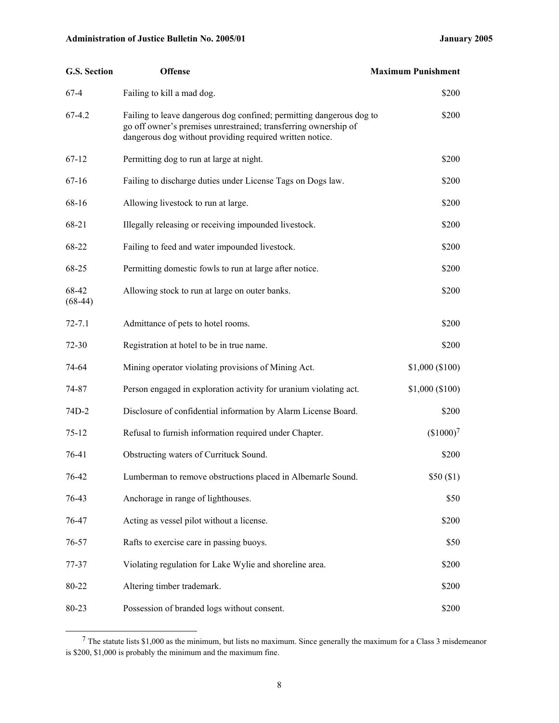| G.S. Section       | <b>Offense</b>                                                                                                                                                                                      | <b>Maximum Punishment</b> |
|--------------------|-----------------------------------------------------------------------------------------------------------------------------------------------------------------------------------------------------|---------------------------|
| $67-4$             | Failing to kill a mad dog.                                                                                                                                                                          | \$200                     |
| $67-4.2$           | Failing to leave dangerous dog confined; permitting dangerous dog to<br>go off owner's premises unrestrained; transferring ownership of<br>dangerous dog without providing required written notice. | \$200                     |
| $67-12$            | Permitting dog to run at large at night.                                                                                                                                                            | \$200                     |
| $67-16$            | Failing to discharge duties under License Tags on Dogs law.                                                                                                                                         | \$200                     |
| 68-16              | Allowing livestock to run at large.                                                                                                                                                                 | \$200                     |
| 68-21              | Illegally releasing or receiving impounded livestock.                                                                                                                                               | \$200                     |
| 68-22              | Failing to feed and water impounded livestock.                                                                                                                                                      | \$200                     |
| 68-25              | Permitting domestic fowls to run at large after notice.                                                                                                                                             | \$200                     |
| 68-42<br>$(68-44)$ | Allowing stock to run at large on outer banks.                                                                                                                                                      | \$200                     |
| $72 - 7.1$         | Admittance of pets to hotel rooms.                                                                                                                                                                  | \$200                     |
| $72 - 30$          | Registration at hotel to be in true name.                                                                                                                                                           | \$200                     |
| 74-64              | Mining operator violating provisions of Mining Act.                                                                                                                                                 | \$1,000 (\$100)           |
| 74-87              | Person engaged in exploration activity for uranium violating act.                                                                                                                                   | \$1,000 (\$100)           |
| 74D-2              | Disclosure of confidential information by Alarm License Board.                                                                                                                                      | \$200                     |
| $75 - 12$          | Refusal to furnish information required under Chapter.                                                                                                                                              | (\$1000) <sup>7</sup>     |
| 76-41              | Obstructing waters of Currituck Sound.                                                                                                                                                              | \$200                     |
| 76-42              | Lumberman to remove obstructions placed in Albemarle Sound.                                                                                                                                         | \$50(\$1)                 |
| 76-43              | Anchorage in range of lighthouses.                                                                                                                                                                  | \$50                      |
| 76-47              | Acting as vessel pilot without a license.                                                                                                                                                           | \$200                     |
| 76-57              | Rafts to exercise care in passing buoys.                                                                                                                                                            | \$50                      |
| 77-37              | Violating regulation for Lake Wylie and shoreline area.                                                                                                                                             | \$200                     |
| 80-22              | Altering timber trademark.                                                                                                                                                                          | \$200                     |
| 80-23              | Possession of branded logs without consent.                                                                                                                                                         | \$200                     |

 <sup>7</sup> The statute lists \$1,000 as the minimum, but lists no maximum. Since generally the maximum for a Class 3 misdemeanor is \$200, \$1,000 is probably the minimum and the maximum fine.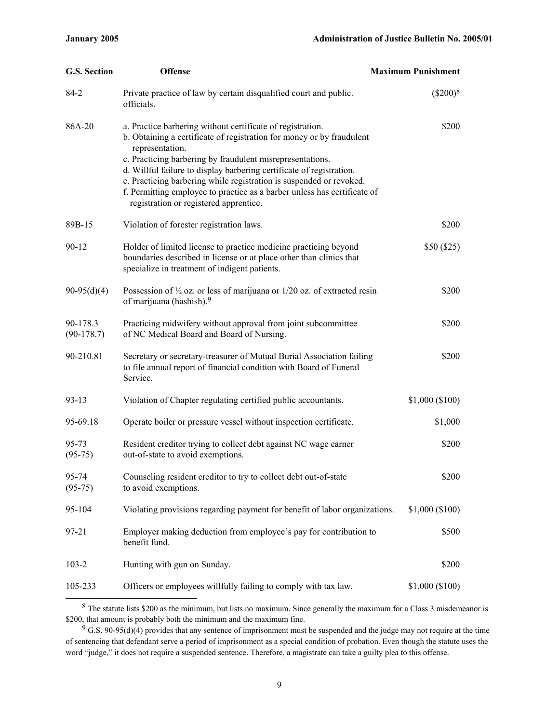| G.S. Section             | <b>Offense</b>                                                                                                                                                                                                                                                                                                                                                                                                                                                                           | <b>Maximum Punishment</b> |
|--------------------------|------------------------------------------------------------------------------------------------------------------------------------------------------------------------------------------------------------------------------------------------------------------------------------------------------------------------------------------------------------------------------------------------------------------------------------------------------------------------------------------|---------------------------|
| 84-2                     | Private practice of law by certain disqualified court and public.<br>officials.                                                                                                                                                                                                                                                                                                                                                                                                          | $(\$200)^8$               |
| 86A-20                   | a. Practice barbering without certificate of registration.<br>b. Obtaining a certificate of registration for money or by fraudulent<br>representation.<br>c. Practicing barbering by fraudulent misrepresentations.<br>d. Willful failure to display barbering certificate of registration.<br>e. Practicing barbering while registration is suspended or revoked.<br>f. Permitting employee to practice as a barber unless has certificate of<br>registration or registered apprentice. | \$200                     |
| 89B-15                   | Violation of forester registration laws.                                                                                                                                                                                                                                                                                                                                                                                                                                                 | \$200                     |
| $90 - 12$                | Holder of limited license to practice medicine practicing beyond<br>boundaries described in license or at place other than clinics that<br>specialize in treatment of indigent patients.                                                                                                                                                                                                                                                                                                 | \$50(\$25)                |
| $90-95(d)(4)$            | Possession of $\frac{1}{2}$ oz. or less of marijuana or 1/20 oz. of extracted resin<br>of marijuana (hashish). <sup>9</sup>                                                                                                                                                                                                                                                                                                                                                              | \$200                     |
| 90-178.3<br>$(90-178.7)$ | Practicing midwifery without approval from joint subcommittee<br>of NC Medical Board and Board of Nursing.                                                                                                                                                                                                                                                                                                                                                                               | \$200                     |
| 90-210.81                | Secretary or secretary-treasurer of Mutual Burial Association failing<br>to file annual report of financial condition with Board of Funeral<br>Service.                                                                                                                                                                                                                                                                                                                                  | \$200                     |
| $93 - 13$                | Violation of Chapter regulating certified public accountants.                                                                                                                                                                                                                                                                                                                                                                                                                            | \$1,000 (\$100)           |
| 95-69.18                 | Operate boiler or pressure vessel without inspection certificate.                                                                                                                                                                                                                                                                                                                                                                                                                        | \$1,000                   |
| 95-73<br>$(95-75)$       | Resident creditor trying to collect debt against NC wage earner<br>out-of-state to avoid exemptions.                                                                                                                                                                                                                                                                                                                                                                                     | \$200                     |
| 95-74<br>$(95-75)$       | Counseling resident creditor to try to collect debt out-of-state<br>to avoid exemptions.                                                                                                                                                                                                                                                                                                                                                                                                 | \$200                     |
| 95-104                   | Violating provisions regarding payment for benefit of labor organizations.                                                                                                                                                                                                                                                                                                                                                                                                               | \$1,000 (\$100)           |
| 97-21                    | Employer making deduction from employee's pay for contribution to<br>benefit fund.                                                                                                                                                                                                                                                                                                                                                                                                       | \$500                     |
| $103 - 2$                | Hunting with gun on Sunday.                                                                                                                                                                                                                                                                                                                                                                                                                                                              | \$200                     |
| 105-233                  | Officers or employees willfully failing to comply with tax law.                                                                                                                                                                                                                                                                                                                                                                                                                          | \$1,000 (\$100)           |

<sup>&</sup>lt;sup>8</sup> The statute lists \$200 as the minimum, but lists no maximum. Since generally the maximum for a Class 3 misdemeanor is \$200, that amount is probably both the minimum and the maximum fine.

 $9$  G.S. 90-95(d)(4) provides that any sentence of imprisonment must be suspended and the judge may not require at the time of sentencing that defendant serve a period of imprisonment as a special condition of probation. Even though the statute uses the word "judge," it does not require a suspended sentence. Therefore, a magistrate can take a guilty plea to this offense.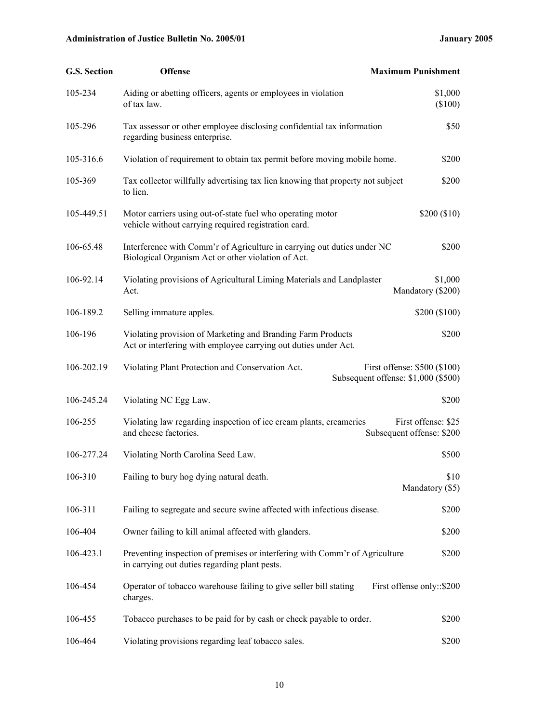| G.S. Section | <b>Offense</b>                                                                                                                 | <b>Maximum Punishment</b>                                           |
|--------------|--------------------------------------------------------------------------------------------------------------------------------|---------------------------------------------------------------------|
| 105-234      | Aiding or abetting officers, agents or employees in violation<br>of tax law.                                                   | \$1,000<br>(\$100)                                                  |
| 105-296      | Tax assessor or other employee disclosing confidential tax information<br>regarding business enterprise.                       | \$50                                                                |
| 105-316.6    | Violation of requirement to obtain tax permit before moving mobile home.                                                       | \$200                                                               |
| 105-369      | Tax collector willfully advertising tax lien knowing that property not subject<br>to lien.                                     | \$200                                                               |
| 105-449.51   | Motor carriers using out-of-state fuel who operating motor<br>vehicle without carrying required registration card.             | \$200 (\$10)                                                        |
| 106-65.48    | Interference with Comm'r of Agriculture in carrying out duties under NC<br>Biological Organism Act or other violation of Act.  | \$200                                                               |
| 106-92.14    | Violating provisions of Agricultural Liming Materials and Landplaster<br>Act.                                                  | \$1,000<br>Mandatory (\$200)                                        |
| 106-189.2    | Selling immature apples.                                                                                                       | \$200 (\$100)                                                       |
| 106-196      | Violating provision of Marketing and Branding Farm Products<br>Act or interfering with employee carrying out duties under Act. | \$200                                                               |
| 106-202.19   | Violating Plant Protection and Conservation Act.                                                                               | First offense: \$500 (\$100)<br>Subsequent offense: \$1,000 (\$500) |
| 106-245.24   | Violating NC Egg Law.                                                                                                          | \$200                                                               |
| 106-255      | Violating law regarding inspection of ice cream plants, creameries<br>and cheese factories.                                    | First offense: \$25<br>Subsequent offense: \$200                    |
| 106-277.24   | Violating North Carolina Seed Law.                                                                                             | \$500                                                               |
| 106-310      | Failing to bury hog dying natural death.                                                                                       | \$10<br>Mandatory (\$5)                                             |
| 106-311      | Failing to segregate and secure swine affected with infectious disease.                                                        | \$200                                                               |
| 106-404      | Owner failing to kill animal affected with glanders.                                                                           | \$200                                                               |
| 106-423.1    | Preventing inspection of premises or interfering with Comm'r of Agriculture<br>in carrying out duties regarding plant pests.   | \$200                                                               |
| 106-454      | Operator of tobacco warehouse failing to give seller bill stating<br>charges.                                                  | First offense only::\$200                                           |
| 106-455      | Tobacco purchases to be paid for by cash or check payable to order.                                                            | \$200                                                               |
| 106-464      | Violating provisions regarding leaf tobacco sales.                                                                             | \$200                                                               |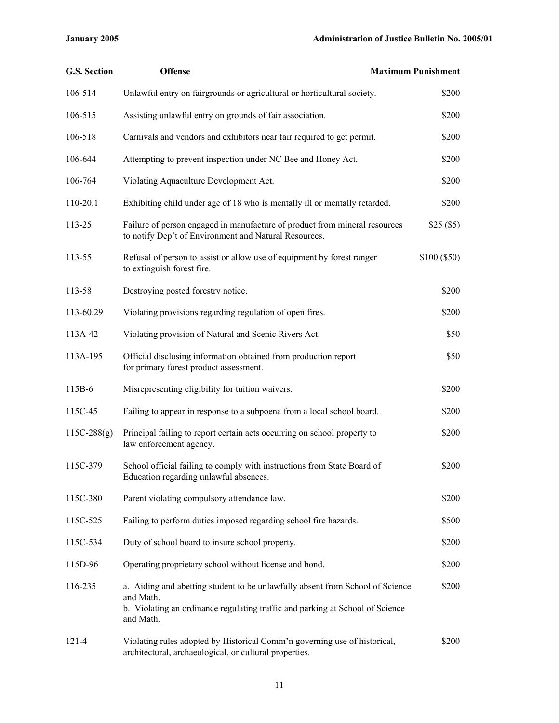| <b>G.S. Section</b> | <b>Offense</b>                                                                                                                                                                           | <b>Maximum Punishment</b> |
|---------------------|------------------------------------------------------------------------------------------------------------------------------------------------------------------------------------------|---------------------------|
| 106-514             | Unlawful entry on fairgrounds or agricultural or horticultural society.                                                                                                                  | \$200                     |
| 106-515             | Assisting unlawful entry on grounds of fair association.                                                                                                                                 | \$200                     |
| 106-518             | Carnivals and vendors and exhibitors near fair required to get permit.                                                                                                                   | \$200                     |
| 106-644             | Attempting to prevent inspection under NC Bee and Honey Act.                                                                                                                             | \$200                     |
| 106-764             | Violating Aquaculture Development Act.                                                                                                                                                   | \$200                     |
| 110-20.1            | Exhibiting child under age of 18 who is mentally ill or mentally retarded.                                                                                                               | \$200                     |
| 113-25              | Failure of person engaged in manufacture of product from mineral resources<br>to notify Dep't of Environment and Natural Resources.                                                      | \$25(\$5)                 |
| 113-55              | Refusal of person to assist or allow use of equipment by forest ranger<br>to extinguish forest fire.                                                                                     | \$100 (\$50)              |
| 113-58              | Destroying posted forestry notice.                                                                                                                                                       | \$200                     |
| 113-60.29           | Violating provisions regarding regulation of open fires.                                                                                                                                 | \$200                     |
| 113A-42             | Violating provision of Natural and Scenic Rivers Act.                                                                                                                                    | \$50                      |
| 113A-195            | Official disclosing information obtained from production report<br>for primary forest product assessment.                                                                                | \$50                      |
| 115B-6              | Misrepresenting eligibility for tuition waivers.                                                                                                                                         | \$200                     |
| 115C-45             | Failing to appear in response to a subpoena from a local school board.                                                                                                                   | \$200                     |
| $115C-288(g)$       | Principal failing to report certain acts occurring on school property to<br>law enforcement agency.                                                                                      | \$200                     |
| 115C-379            | School official failing to comply with instructions from State Board of<br>Education regarding unlawful absences.                                                                        | \$200                     |
| 115C-380            | Parent violating compulsory attendance law.                                                                                                                                              | \$200                     |
| 115C-525            | Failing to perform duties imposed regarding school fire hazards.                                                                                                                         | \$500                     |
| 115C-534            | Duty of school board to insure school property.                                                                                                                                          | \$200                     |
| 115D-96             | Operating proprietary school without license and bond.                                                                                                                                   | \$200                     |
| 116-235             | a. Aiding and abetting student to be unlawfully absent from School of Science<br>and Math.<br>b. Violating an ordinance regulating traffic and parking at School of Science<br>and Math. | \$200                     |
| $121 - 4$           | Violating rules adopted by Historical Comm'n governing use of historical,<br>architectural, archaeological, or cultural properties.                                                      | \$200                     |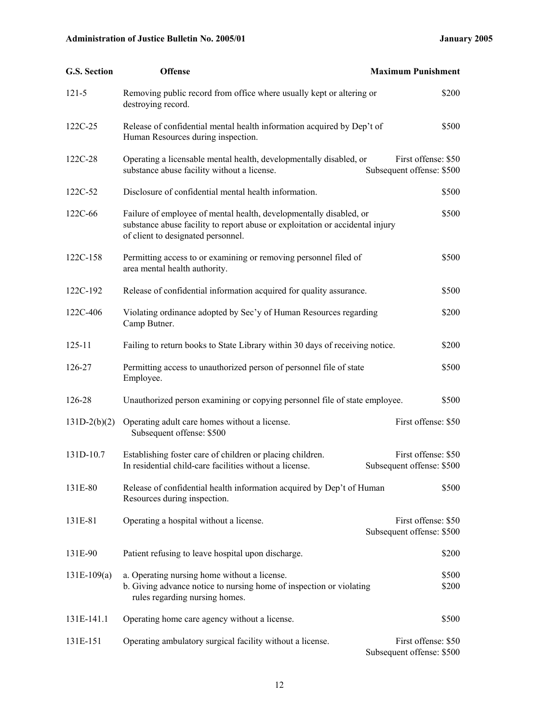| G.S. Section   | <b>Offense</b>                                                                                                                                                                            | <b>Maximum Punishment</b>                        |
|----------------|-------------------------------------------------------------------------------------------------------------------------------------------------------------------------------------------|--------------------------------------------------|
| $121 - 5$      | Removing public record from office where usually kept or altering or<br>destroying record.                                                                                                | \$200                                            |
| 122C-25        | Release of confidential mental health information acquired by Dep't of<br>Human Resources during inspection.                                                                              | \$500                                            |
| 122C-28        | Operating a licensable mental health, developmentally disabled, or<br>substance abuse facility without a license.                                                                         | First offense: \$50<br>Subsequent offense: \$500 |
| 122C-52        | Disclosure of confidential mental health information.                                                                                                                                     | \$500                                            |
| 122C-66        | Failure of employee of mental health, developmentally disabled, or<br>substance abuse facility to report abuse or exploitation or accidental injury<br>of client to designated personnel. | \$500                                            |
| 122C-158       | Permitting access to or examining or removing personnel filed of<br>area mental health authority.                                                                                         | \$500                                            |
| 122C-192       | Release of confidential information acquired for quality assurance.                                                                                                                       | \$500                                            |
| 122C-406       | Violating ordinance adopted by Sec'y of Human Resources regarding<br>Camp Butner.                                                                                                         | \$200                                            |
| $125 - 11$     | Failing to return books to State Library within 30 days of receiving notice.                                                                                                              | \$200                                            |
| 126-27         | Permitting access to unauthorized person of personnel file of state<br>Employee.                                                                                                          | \$500                                            |
| 126-28         | Unauthorized person examining or copying personnel file of state employee.                                                                                                                | \$500                                            |
| $131D-2(b)(2)$ | Operating adult care homes without a license.<br>Subsequent offense: \$500                                                                                                                | First offense: \$50                              |
| 131D-10.7      | Establishing foster care of children or placing children.<br>In residential child-care facilities without a license.                                                                      | First offense: \$50<br>Subsequent offense: \$500 |
| 131E-80        | Release of confidential health information acquired by Dep't of Human<br>Resources during inspection.                                                                                     | \$500                                            |
| 131E-81        | Operating a hospital without a license.                                                                                                                                                   | First offense: \$50<br>Subsequent offense: \$500 |
| 131E-90        | Patient refusing to leave hospital upon discharge.                                                                                                                                        | \$200                                            |
| $131E-109(a)$  | a. Operating nursing home without a license.<br>b. Giving advance notice to nursing home of inspection or violating<br>rules regarding nursing homes.                                     | \$500<br>\$200                                   |
| 131E-141.1     | Operating home care agency without a license.                                                                                                                                             | \$500                                            |
| 131E-151       | Operating ambulatory surgical facility without a license.                                                                                                                                 | First offense: \$50<br>Subsequent offense: \$500 |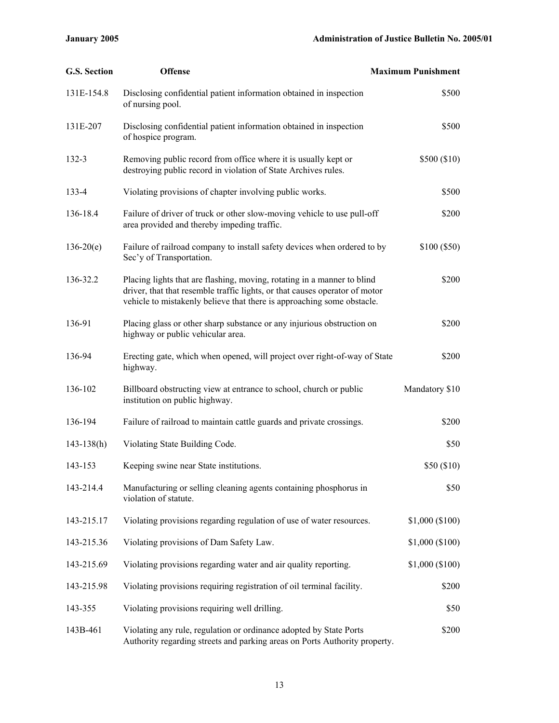| <b>G.S. Section</b> | <b>Offense</b>                                                                                                                                                                                                                   | <b>Maximum Punishment</b> |
|---------------------|----------------------------------------------------------------------------------------------------------------------------------------------------------------------------------------------------------------------------------|---------------------------|
| 131E-154.8          | Disclosing confidential patient information obtained in inspection<br>of nursing pool.                                                                                                                                           | \$500                     |
| 131E-207            | Disclosing confidential patient information obtained in inspection<br>of hospice program.                                                                                                                                        | \$500                     |
| $132 - 3$           | Removing public record from office where it is usually kept or<br>destroying public record in violation of State Archives rules.                                                                                                 | \$500 (\$10)              |
| 133-4               | Violating provisions of chapter involving public works.                                                                                                                                                                          | \$500                     |
| 136-18.4            | Failure of driver of truck or other slow-moving vehicle to use pull-off<br>area provided and thereby impeding traffic.                                                                                                           | \$200                     |
| $136-20(e)$         | Failure of railroad company to install safety devices when ordered to by<br>Sec'y of Transportation.                                                                                                                             | \$100 (\$50)              |
| 136-32.2            | Placing lights that are flashing, moving, rotating in a manner to blind<br>driver, that that resemble traffic lights, or that causes operator of motor<br>vehicle to mistakenly believe that there is approaching some obstacle. | \$200                     |
| 136-91              | Placing glass or other sharp substance or any injurious obstruction on<br>highway or public vehicular area.                                                                                                                      | \$200                     |
| 136-94              | Erecting gate, which when opened, will project over right-of-way of State<br>highway.                                                                                                                                            | \$200                     |
| 136-102             | Billboard obstructing view at entrance to school, church or public<br>institution on public highway.                                                                                                                             | Mandatory \$10            |
| 136-194             | Failure of railroad to maintain cattle guards and private crossings.                                                                                                                                                             | \$200                     |
| $143 - 138(h)$      | Violating State Building Code.                                                                                                                                                                                                   | \$50                      |
| 143-153             | Keeping swine near State institutions.                                                                                                                                                                                           | \$50(\$10)                |
| 143-214.4           | Manufacturing or selling cleaning agents containing phosphorus in<br>violation of statute.                                                                                                                                       | \$50                      |
| 143-215.17          | Violating provisions regarding regulation of use of water resources.                                                                                                                                                             | \$1,000 (\$100)           |
| 143-215.36          | Violating provisions of Dam Safety Law.                                                                                                                                                                                          | \$1,000 (\$100)           |
| 143-215.69          | Violating provisions regarding water and air quality reporting.                                                                                                                                                                  | \$1,000 (\$100)           |
| 143-215.98          | Violating provisions requiring registration of oil terminal facility.                                                                                                                                                            | \$200                     |
| 143-355             | Violating provisions requiring well drilling.                                                                                                                                                                                    | \$50                      |
| 143B-461            | Violating any rule, regulation or ordinance adopted by State Ports<br>Authority regarding streets and parking areas on Ports Authority property.                                                                                 | \$200                     |